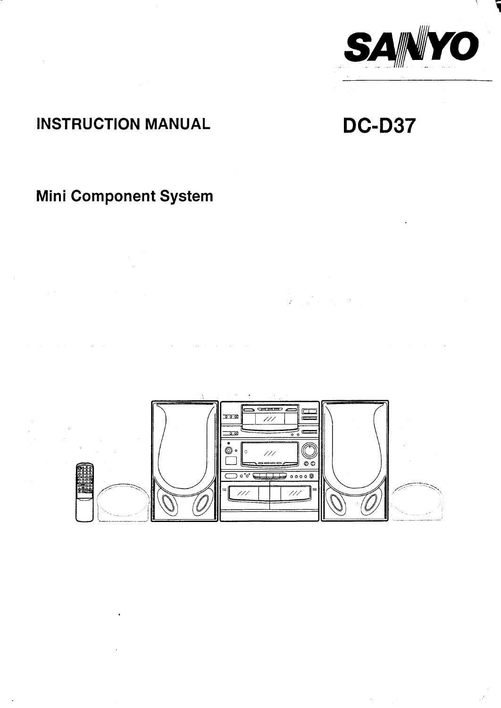

# **INSTRUCTION MANUAL**

 $\mathcal{A}$ 

# **DC-D37**

# Mini Component System

 $\chi \to$ 



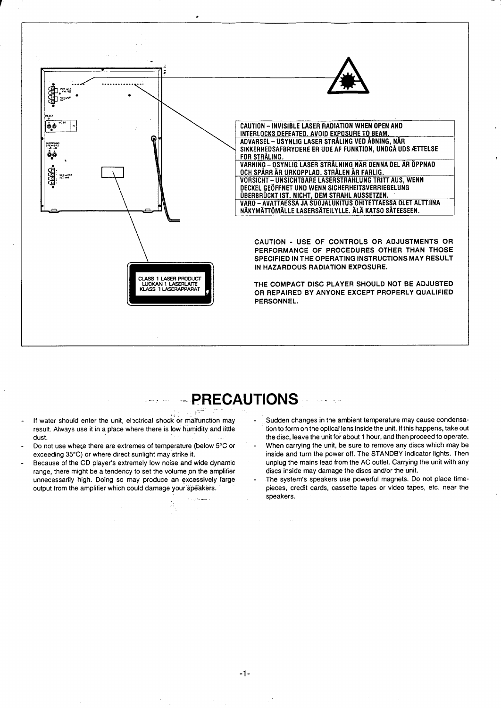

# -- PRECAUTIONS

- If water should enter the unit, electrical shock or malfunction may result. Always use it in a place where there is low humidity and little dust.
- Do not use where there are extremes of temperature (below 5°C or exceeding 35°C) or where direct sunlight may strike it.
- Because of the CD player's extremely low noise and wide dynamic range, there might be a tendency to set the volume on the amplifier unnecessarily high. Doing so may produce an excessively large output from the amplifier which could damage your speakers.

.<br>A company of

Sudden changes in the ambient temperature may cause condensation to form on the optical lens inside the unit. If this happens, take out the disc, leave the unit for about 1 hour, and then proceed to operate. When carrying the unit, be sure to remove any discs which may be inside and turn the power off. The STANDBY indicator lights. Then unplug the mains lead from the AC outlet. Carrying the unit with any discs inside may damage the discs and/or the unit.

The system's speakers use powerful magnets. Do not place timepieces, credit cards, cassette tapes or video tapes, etc. near the speakers.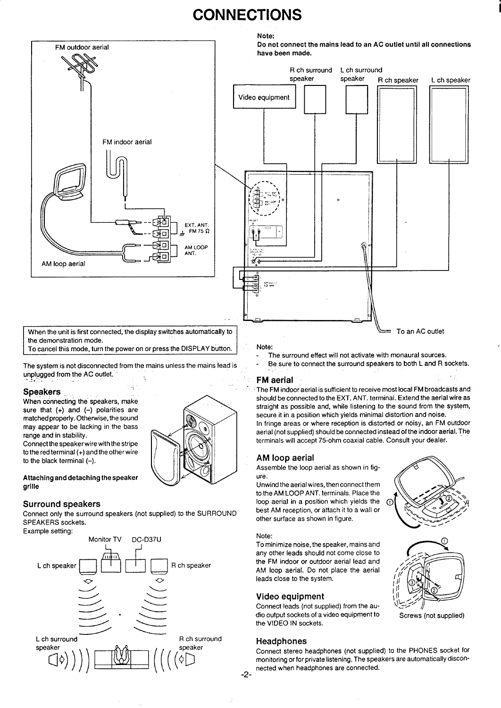# **CONNECTIONS**





the demonstration mode.

To cancel this mode, turn the power on or press the DISPLAY button.

The system is not disconnected from the mains unless the mains lead is unplugged from the AC outlet.<br>-

### **Speakers .,**

When connecting the speakers, make sure that  $(+)$  and  $(-)$  polarities are matched properly. Otherwise, the sound may appear to be lacking in the bass range and in stability.

Connect the speaker wire with the stripe to the red terminal (+) and the other wire to the black terminal  $(-)$ .

#### Attaching and detaching the speaker grille

### **Surround speakers**

Connect only the surround speakers (not supplied) to the SURROUND SPEAKERS sockets.





#### Note:

- The surround effect will not activate with monaural sources.
- Be sure to connect the surround speakers to both L and R sockets. . .

## **FM aerial**

The FM indoor aerial is sufficient to receive most local FM broadcasts and should be connected to the EXT. ANT. terminal. Extend the aerial wire as straight as possible and, while listening to the sound from the system, secure it in a pcsition which yields minimal distortion and noise. In fringe areas or where reception is distorted or noisy, an FM outdoor aerial (not supplied) should be connected instead of the indoor aerial. The terminals will accept 75-ohm coaxial cable. Consult your dealer.

### **AM loop aerial**

Assemble the loop aerial as shown in figure.

Unwind the aerial wires, then connect them to the AM LOOP ANT. terminals. Place the loop aerial in a position which yields the best AM reception, or attach it to a wall or other surface as shown in figure.

#### Note:

To minimize noise, the speaker, mains and any other leads should not come close to the FM indoor or outdoor aerial lead and AM loop aerial. Do not place the aerial leads close to the system.

### **Video equipment**

Connect leads (not supplied) from the audio output sockets of a video equipment to the VIDEO IN sockets.

### **Headphones**

Connect stereo headphones (not supplied) to the PHONES socket for monitoring or for private listening. The speakers are automatically disconnected when headphones are connected.



**,,**



Screws (not supplied)

**-2-**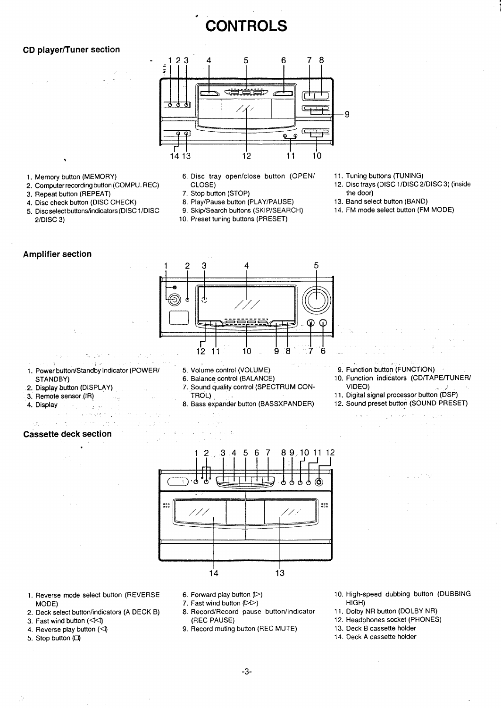# **CONTROLS**

●

# **CD player/Tuner section**



- 1. Memory button (MEMORY)
- 2. Computer recording button (COMPU. REC)

.—,

- 3. Repeat button (REPEAT)
- 
- 4. Disc check button (DISC CHECK) 8. Play/Pause button (PLAY/PAUSE)<br>5. Disc select buttons/indicators (DISC 1/DISC 9. Skip/Search buttons (SKIP/SEARCH) 5. Disc select buttons/indicators (DISC 1/DISC  $2/D$ ISC 3)
- 6. Disc tray open/close button (OPEN/ 11. Tuning buttons (TUNING)
- 
- 8. Play/Pause button (PLAY/PAUSE)
	-
	- 10. Preset tuning buttons (PRESET)
- 
- CLOSE) 12. Disc trays (DISC l/DlSC2/DISC 3) (inside 7. Stop button (STOP)<br>
8. Play/Pause button (PLAY/PAUSE) 
13. Band select button (BAND)

i

- 
- 14. FM mode select button (FM MODE)

# **Amplifier section**



1. Power button/Standby indicator (POWER/ 5. Volume control (VOLUME) 9. Function button (FUNCTION

,,, .

 $\mathcal{F}_{\mathcal{A}}^{\mathcal{A}}$  and  $\mathcal{F}_{\mathcal{A}}^{\mathcal{A}}$  and  $\mathcal{F}_{\mathcal{A}}^{\mathcal{A}}$ 

- 2. Display button (DISPLAY)
- 3. Remote sensor (IR)
- 
- 4. Display and the state

, and the second second constraints of  $\mathcal{L}_\mathcal{A}$  , and the second constraints of  $\mathcal{L}_\mathcal{A}$ 

- 7. Sound quality control (SPECTRUM CON-<br>
TROL)
	-
- 8. Bass expander button (BASSXPANDER)
- 
- STANDBY) 6. Balance control (BALANCE) 10. Function indicators (CD/TAPE/TUNER/<br>Display button (DISPLAY) 7. Sound quality control (SPECTRUM CON- VIDEO)
	- 11. Digital signal processor button (DSP)<br>12. Sound preset button (SOUND PRESET)
	- i.

 $\sim$   $\sim$ 

 $\mathcal{A}_{\mathcal{A},\mathcal{A}}$ 

 $\sim$   $\sim$ 

# **Cassette deck section :.**

.

,-

 $\sim 10^{-10}$  eV



- 1. Reverse mode select button (REVERSE  $\qquad \quad 6.$  Forward play button ( $\triangleright$ MODE)<br>Deck select button/indicators (A DECK B) <br>Deck select button/indicators (A DECK B) 8. Record/Record pause button/indicator
- 2. Deck select button/indicators (A DECK B) 8. Record/Record\_pause\_button/indica
- 3. Fast wind button ( $\triangleleft\triangleleft$ ) (REC PAUSE
- 4. Reverse play button (<)
- 5. Stop button (Cl)
- 
- 
- 
- 9. Record muting button (REC MUTE)
- 10. High-speed dubbing button (DUBBING HIGH)
- 11. Dolby NR button (DOLBY NR)
- 12. Headphones socket (PHONES)
- 13. Deck B cassette holder
- 14. Deck A cassette holder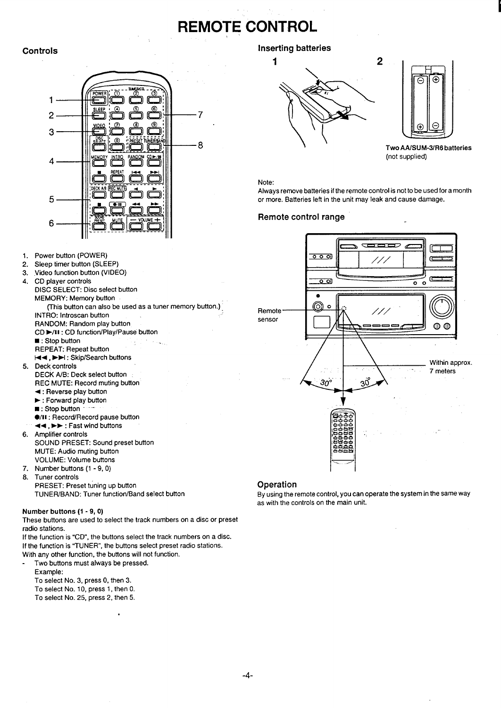# **REMOTE CONTROL**



- 1. Power button (POWER)
- 2. Sleep timer button (SLEEP)
- 3. .Video function button (VIDEO)
- 4. CD player controls
- DISC SELECT: Disc select button
	- MEMORY: Memory button (This button can also be used as a tuner memory button.) INTRO: Introscan button RANDOM: Random play button
	- CD ➤/11: CD function/Play/Pause button
	- : Stop button
	- REPEAT: Repeat button
	- M4, ➤u: Skip/Search buttons
- 5. Deck controls
	- DECK A/B: Deck select button
	- REC MUTE: Record muting button
	- 4: Reverse play button
	- ➤ : Forward play button
	- : Stop button
	- $\bullet$ /II: Record/Record pause button 44, ➤> : Fast wind buttons
- 6. Amplifier control SOUND PRESET: Sound preset button MUTE: Audio muting button VOLUME: Volume buttons
- 7. Number buttons (1 -9, O)
- 8. Tuner controls PRESET: Preset tuning up button TUNEFf/BAND: Tuner function/Band select button

## Number buttons (1 -9, O)

These buttons are used to select the track numbers on a disc or preset radio stations.

If the function is "CD", the buttons select the track numbers on a disc. If the function is "TUNER", the buttons select preset radio stations. With any other function, the buttons will not function.

.

- Two buttons must always be pressed. Example:
	- To select No. 3, press O, then 3. To select No. 10, press 1, then O.
	- To select No. 25, press 2, then 5.

# **Controls Inserting batteries**





\' Two AA/SUM-3/R6 batteries (not supplied)

#### Note:

Always remove batteries if the remote control is not to be used for a month or more. Batteries left in the unit may leak and cause damage.

## **Remote control range**



### **Operation**

By using the remote control, you can operate the system in the same way as with the controls on the main unit.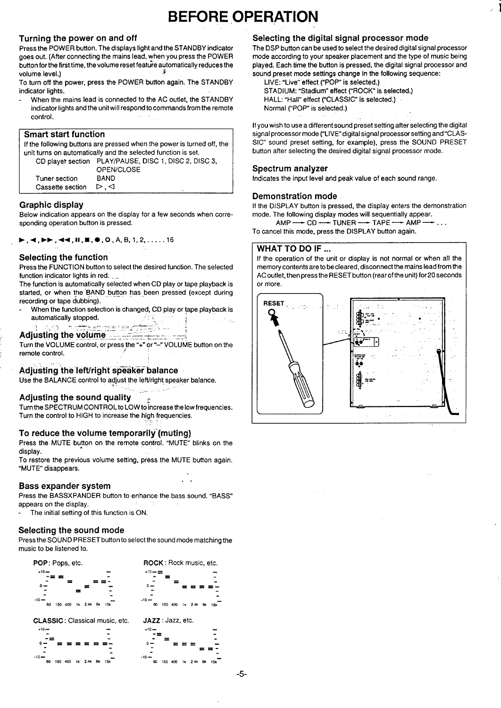# **BEFORE OPERATION**

## **Turning the power on and off**

Press the POWER button. The displays light and the STANDBY indicator goes out. (After connecting the mains lead, when you press the POWER button for the first time, the volume reset feature automatically reduces the volume level.) <sup>5</sup>

To turn off the power, press the POWER button again. The STANDBY indicator lights.

When the mains lead is connected to the AC outlet, the STANDBY indicator lights and the unit will respond to commands from the remote control.

### **Smart start function**

If the following buttons are pressed when the power is turned off, the unit turns on automatically and the selected function is set. CD player section PLAY/PAUSE, DISC 1, DISC 2, DISC 3,

OPEN/CLOSE Tuner section BAND Cassette section  $\triangleright$ ,  $\triangleleft$ 

### **Graphic display**

Below indication appears on the display for a few seconds when corresponding operation button is pressed.

 $\blacktriangleright$ , 4,  $\blacktriangleright$  , 44, ii,  $\blacksquare$ ,  $\blacksquare$ , 0, 0, A, B, 1, 2, ..... 16

### **Selecting the function**

Press the FUNCTION button to select the desired function. The selected function indicator lights in red.

The function is automatically selected when CD play or tape playback is started, or when the BAND button has been pressed (except during recording or tape dubbing).

When the function selection is changed, CD play or tape playback is automatically stopped. **Adjusting the volume of the set of the set of the set of the set of the set of the set of the set of the set of the set of the set of the set of the set of the set of the set of the set of the set of the set of the set of** 

Turn the VOLUME control, or press the "+" or "--" VOLUME button on the remote control.

## **Adjusting the left/right speaker balance**

Use the BALANCE control to adjust the left/right speaker balance

### **Adjusting the sound quality- "'-, -**

Turn the SPECTRUM CONTROL to LOW to increase the low frequencies. Turn the control to HIGH to increase the high frequencies.

.

**. .**

..

## **To reduce the volume temporarily"(muting)**

Press the MUTE button on the remote control. "MUTE" blinks on the . display.

To restore the previous volume setting, press the MUTE button again. "MUTE" disappears.

### **Bass expander system**

Press the BASSXPANDER button to enhance the bass sound. "BASS" appears on the display.

The initial setting of this function is ON.

### **Selecting the sound mode**

Press the SOUND PRESET button to select the sound mode matching the music to be listened to.



# **Selecting the digital signal processor mode**

The DSP button can be used to select the desired digital signal processor mode according to your speaker placement and the type of music being played. Each time the button is pressed, the digital signal processor and sound preset mode settings change in the following sequence:

1

LIVE: "Live" effect ("POP" is selected.) STADIUM: "Stadium" effect ("ROCK" is selected.) HALL: "Hall" effect ("CLASSIC" is selected.) Normal ("POP" is selected.)

If you wish to use a different sound preset setting after selecting the digital signal processor mode ("LIVE" digital signal processor setting and "CLAS-SIC" sound preset setting, for example), press the SOUND PRESET button after selecting the desired digital signal processor mode.

#### **Spectrum analyzer**

Indicates the input level and peak value of each sound range.

#### **Demonstration mode**

If the DISPLAY button is pressed, the display enters the demonstration mode. The following display modes will sequentially appear.

 $AMP \longrightarrow CD \longrightarrow TUNER \longrightarrow TAPE \longrightarrow AMP -$ 

To cancel this mode, press the DISPLAY button again.

### **WHAT TO DO IF ...**

If the operation of the unit or display is not normal or when all the memory contents are to be cleared, disconnect the mains lead from the AC outlet, then press the RESET button (rear of the unit) for20 seconds or more.

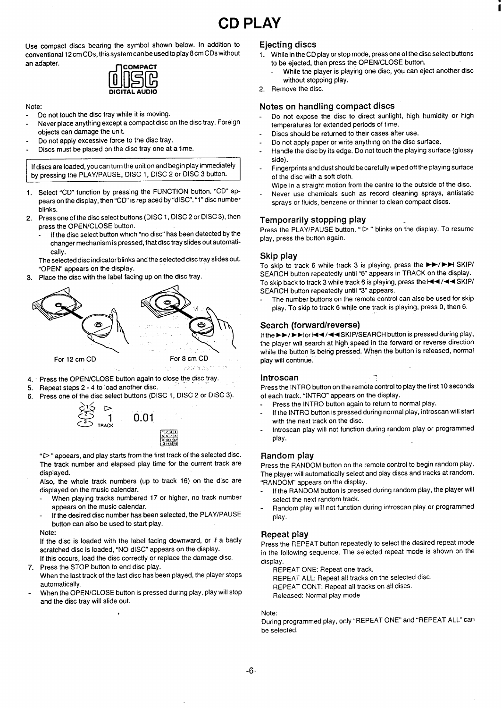Use compact discs bearing the symbol shown below. In addition to conventional 12 cm CDs, this system can be used to play 8 cm CDs without an adapter.<br> **MOOMPACT**<br> **MOOMPACT**<br>
DIGITAL AUDIO



#### Note:

- Do not touch the disc tray while it is moving.
- Never place anything except a compact disc on the disc tray. Foreign objects can damage the unit.
- Do not apply excessive force to the disc tray.
- Discs must be placed on the disc tray one at a time.

If discs are loaded, you can turn the unit on and begin play immediately by pressing the PLAY/PAUSE, DISC 1, DISC 2 or DISC 3 button.

- 1. Select "CD" function by pressing the FUNCTION button. "CD" appears on the display, then "CD" is replaced by "dlSC". "1" disc number blinks.
- 2. Press one of the disc select buttons (DISC 1, DISC 2 or DISC 3), then press the OPEN/CLOSE button.
	- If the disc select button which "no disc" has been detected by the changer mechanism is pressed, that disc tray slides out automatically.

#### The selected disc indicator blinks and the selected disc tray slides out. "OPEN" appears on the display.

3. Place the disc with the label facing up on the disc tray.



- 4. Press the OPEN/CLOSE button again to close the disc tra
- 5. Repeat steps 2-4 to load another chsc.
- 6. Press one of the disc select buttons (DISC 1, DISC 2 or DISC 3).



"D" appears, and play starts from the first track of the selected disc. The track number and elapsed play time for the current track are displayed.

**R/** ,234 <u>ه زد</u> <u>91101111</u> ,,!,

Also, the whole track numbers (up to track 16) on the disc are displayed on the music calendar.

- When playing tracks numbered 17 or higher, no track number appears on the music calendar.
- If the desired disc number has been selected, the PLAY/PAUSE button can also be used to start play.
- Note:

If the disc is loaded with the label facing downward, or if a badly scratched disc is loaded, "NO dISC" appears on the display. If this occurs, load the disc correctly or replace the damage disc.

7. Press the STOP button to end disc play.

.

- When the last track of the last disc has been played, the player stops automatically.
- When the OPEN/CLOSE button is pressed during play, play will stop and the disc tray will slide out.

#### **Ejecting discs**

- 1. While in the CD play or stop mode, press one of the disc select buttons to be ejected, then press the OPEN/CLOSE button.
	- While the player is playing one disc, you can eject another disc without stopping play.
- 2. Remove the disc.

#### **Notes on handling compact discs**

- Do not expose the disc to direct sunlight, high humidity or high temperatures for extended periods of time.
- Discs should be returned to their cases after use.
- Do not apply paper or write anything on the disc surface.
- Handle the disc by its edge. Do not touch the playing surface (glossy side).
- Fingerprints and dust should be carefully wiped off the playing surface of the disc with a soft cloth.
- Wipe in a straight motion from the centre to the outside of the disc. Never use chemicals such as record cleaning sprays, antistatic sprays or fluids, benzene or thinner to clean compact discs.

# **Temporarily stopping play**

Press the PLAY/PAUSE button. " $\triangleright$ " blinks on the display. To resume play, press the button again.

#### **Skip play**

To skip to track 6 while track 3 is playing, press the ►►/►► SKIP/ SEARCH button repeatedly until "6" appears in TRACK on the display. To skip back to track 3 while track 6 is playing, press the  $\blacktriangleleft \blacktriangleleft \blacktriangleleft \mathsf{SKIP}/\blacktriangleleft \blacktriangleleft \mathsf{SKIP}/\blacktriangleleft \blacktriangleleft \mathsf{SKIP}/\blacktriangleleft \blacktriangleleft \mathsf{SKIP}/\blacktriangleleft \blacktriangleleft \mathsf{SKIP}/\blacktriangleleft \blacktriangleleft \mathsf{SKIP}/\blacktriangleleft \blacktriangleleft \mathsf{SKIP}/\blacktriangleleft \blacktriangleleft \mathsf{SKIP}/\blacktriangleleft \blacktriangleleft \mathsf{SKIP}/\blacktriangleleft \blacktriangleleft \mathsf{SKIP}/\blacktriangleleft \black$ SEARCH button repeatedly until "3" appears.

The number buttons on the remote control can also be used for skip play. To skip to track 6 while one track is playing, press 0, then 6.

#### **Search (forward/reverse)**

If the ►►/►► or  $\leftarrow$  /  $\leftarrow$  /  $\leftarrow$  /  $\leftarrow$  /  $\leftarrow$  /  $\leftarrow$  SKIP/SEARCH button is pressed during play, the player will search at high speed in the forward or reverse direction while the button is being pressed. When the button is released, normal play will continue.

#### **Introscan . .**

Press the INTRO button on the remote control to play the first 10 seconds of each track. "INTRO" appears on the display.

- Press the INTRO button again to return to normal play.
- If the INTRO button is pressed during normal play, introscan will start with the next track on the disc.
- Introscan play will not function during random play or programmed play.

#### **Random play**

Press the RANDOM button on the remote control to begin random play. The player will automatically select and play discs and tracks at random. "RANDOM" appears on the display.

- If the RANDOM button is pressed during random play, the player will select the next random track.
- Random play will not function during introscan play or programmed play.

#### **Repeat play**

Press the REPEAT button repeatedly to select the desired repeat mode in the following sequence. The selected repeat mode is shown on the display.

REPEAT ONE: Repeat one track.

REPEAT ALL: Repeat all tracks on the selected disc.

REPEAT CONT: Repeat all tracks on all discs.

Released: Normal play mode

#### Note:

During programmed play, only "REPEAT ONE" and "REPEAT ALL" can be selected.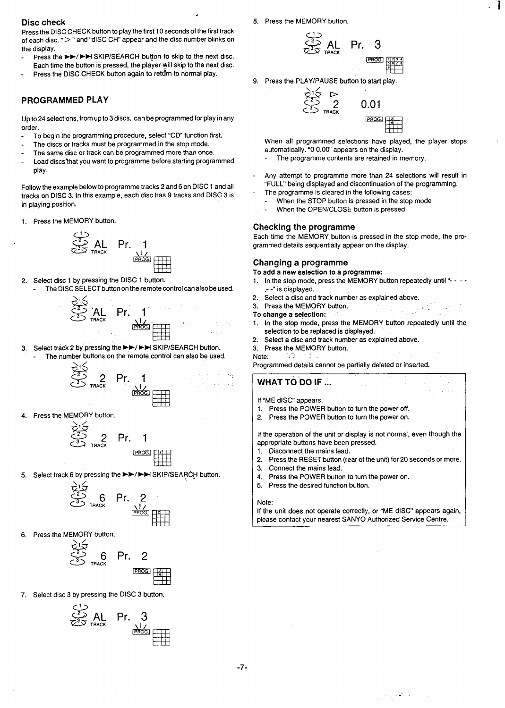#### **Disc check**

Press the DISC CHECK button to play the first 10 seconds of the first track of each disc. " $\triangleright$ " and "dISC CH" appear and the disc number blinks on the display.

.

Press the  $\blacktriangleright$ / $\blacktriangleright$  SKIP/SEARCH button to skip to the next disc. Each time the button is pressed, the player will skip to the next disc. Press the DISC CHECK button again to return to normal play.

#### **PROGRAMMED PLAY**

Up to 24 selections, from up to 3 discs, can be programmed for play in any order.

- To begin the programming procedure, select "CD" function first.
- The discs or tracks must be programmed in the stop mode.
- The same disc or track can be programmed more than once.
- Load discs that you want to programme before starting programmed play.

Follow the'example below to programme tracks 2 and 6 on DISC 1 and all tracks on DISC 3. In this example, each disc has 9 tracks and DISC 3 is in playing position.

1. Press the MEMORY button.



- 2. Select disc 1 by pressing the DISC 1 button.
- The DISC SELECT button on the remote control canalsobe used.



 $\frac{1}{2}$ 3. Select track 2 by pressing the ►►/►►I SKIP/SEARCH button. The number buttons on the remote control can also be used.



Press the MEMORY button.

$$
\begin{array}{cc}\n\sum_{1}^{2} & 2 & \text{Pr.} & 1 \\
\sum_{3}^{2} & 2 & \text{Pr.} & 1\n\end{array}
$$

5. Select track 6 by pressing the ►►/►►ISKIP/SEARCH button.



**•131**

6. Press the MEMORY button.



7. Select disc 3 by pressing the DISC 3 button.



8. Press the MEMORY button.



 $\mathbf{I}$ 

9. Press the PLAY/PAUSE button to start play.



When all programmed selections have played, the player stops automatically. "0 0.00" appears on the display.

- The programme contents are retained in memory.
- Any attempt to programme more than 24 selections will result in "FULL" being displayed and discontinuation of the programming. The programme is cleared in the following cases:
	- When the STOP button is pressed in the stop mode
	- When the OPEN/CLOSE button is pressed

#### **Checking the programme**

Each time the MEMORY button is pressed in the stop mode, the programmed details sequentially appear on the display.

#### **Changing a programme**

To add a new selection to a programme:

- In the stop mode, press the MEMORY button repeatedly until "- --.--" is displayed.
- 2. Select a disc and track number as explained above.
- 3. Press the MEMORY button.
- To change a selection:
- 1. In the stop mode, press the MEMORY button repeatedly until the selection to be replaced is displayed.
- 2. Select a disc and track number as explained above.
- 3. Press the MEMORY button.
- Note:

Programmed details cannot be partially deleted or inserted.

If "ME dISC" appears.

**WHAT TO DO IF ... .,**

- 1. Press the POWER button to turn the power off.
- 2. Press the POWER button to turn the power on.
- 

If the operation of the unit or display is not normal, even though the appropriate buttons have been pressed.

- 1. Disconnect the mains lead.
- 2. Press the RESET button (rear of the unit) for 20 seconds or more.
- 3. Connect the mains lead.
- 4. Press the POWER button to turn the power on.
- 5. Press the desired function button.

#### Note:

If the unit does not operate correctly, or "ME dISC" appears again, please contact your nearest SANYO Authorized Service Centre.

 $\mathcal{O}(\mathcal{O}_\mathcal{A})$  , and  $\mathcal{O}(\mathcal{O}_\mathcal{A})$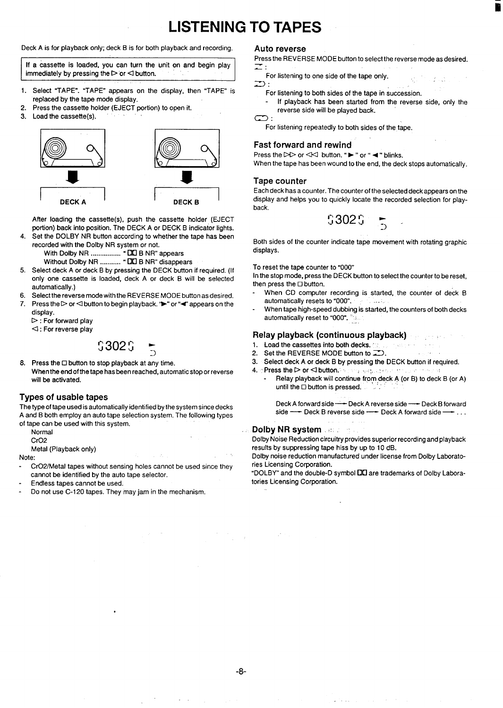# **LISTENING TO TAPES**

Deck A is for playback only; deck B is for both playback and recording.

If a cassette is loaded, you can turn the unit on and begin play immediately by pressing the  $\triangleright$  or  $\triangleleft$  button.

- 1. Select "TAPE". "TAPE" appears on the display, then "TAPE" is replaced by the tape mode display.
- 2. Press the cassette holder (EJECT portion) to open it.
- 3. Load the cassette(s).



After loading the cassette(s), push the cassette holder (EJECT portion) back into position. The DECK A or DECK B indicator lights.

4. Set the DOLBY NR button according to whether the tape has been recorded with the Dolby NR system or not.

With Dolby NR ................. " DO B NR" appears

Without Dolby NR ........... " DO B NR" disappears

- 5. Select deck A or deck B by pressing the DECK button if required. (If only one cassette is loaded, deck A or deck B will be selected automatically.)
- 6. Select the reverse mode with the REVERSE MODE button as desired.
- 7. Press the D or  $\triangle$  button to begin playback.  $\blacktriangleright$  or  $\blacktriangleleft$  appears on the display.  $\triangleright$ : For forward play

 $\lhd$ : For reverse play

# \$302\$

8. Press the ❑ button to stop playback at any time, When the end of the tape has been reached, automatic stop or reverse will be activated.

### **Types of usable tapes**

The type of tape used is automatically identified by the system since decks A and B both employ an auto tape selection system. The following types of tape can be used with this system.

Normal

CrO<sub>2</sub>

Metal (Playback only)

Note:

- Cr02/Metal tapes without sensing holes cannot be used since they cannot be identified by the auto tape selector.
- Endless tapes cannot be used.
- Do not use C-120 tapes. They may jam in the mechanism.

#### **Auto** reverse

Press the REVERSE MODE button to select the reverse mode as desired.  $\mathcal{I}:$ 

iii

For listening to one side of the tape only.

- -. **-J :**
- For listening to both sides of the tape in succession.
- If playback has been started from the reverse side, only the reverse side will be played back.  $\subset$

For listening repeatedly to both sides of the tape.

### **Fast forward and rewind**

Press the  $D$  or  $\ll$  button. " $\blacktriangleright$  " or "  $\blacktriangleleft$  " blinks.

When the tape has been wound to the end, the deck stops automatically.

#### **Tape counter**

Each deck has a counter. The counter of the selected deck appears on the display and helps you to quickly locate the recorded selection for playback.

$$
0.3020\frac{1}{10}
$$

Both sides of the counter indicate tape movement with rotating graphic displays.

To reset the tape counter to "000

In the stop mode, press the DECK button to select the counter to be reset, then press the ❑ button.

- When CD computer recording is started, the counter of deck B automatically resets to "000".
- When tape high-speed dubbing is started, the counters of both decks automatically reset to "000".

Seep and the

### **Relay playback (continuous playback)**

- Load the cassettes into both decks.
- 2. Set the REVERSE MODE button to  $\mathbb{Z}$ .
- 3. Select deck A or deck B by pressing the DECK button if required.
- $4.$   $\circ$  Press the  $\triangleright$  or  $\triangle$  button.  $\circ$  and  $\circ$  , sequence in the property of
	- Relay playback will continue from deck A (or B) to deck B (or A) until the  $\Box$  button is pressed.

Deck A forward side — Deck A reverse side — Deck B forward side — Deck B reverse side — Deck A forward side —  $\rightarrow \ldots$ 

#### **Dolby NR system .: ~"**

Dolby Noise Reduction circuitry provides superior recording and playback results by suppressing tape hiss by up to 10 dB.

Dolby noise reduction manufactured under license from Dolby Laboratories Licensing Corporation.

"DOLBY" and the double-D symbol **QQ** are trademarks of Dolby Laboratories Licensing Corporation.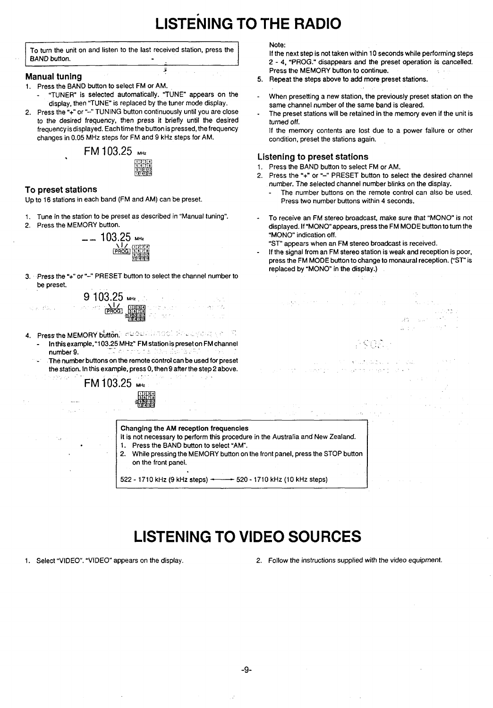# **LISTENING TO THE RADIO**

To turn the unit on and listen to the last received station, press the BAND button.

5

- **Manual tuning** 5. 1. Press the BAND button to select FM or AM. "TUNER" is selected automatically. "TUNE" **appears on the .**
- display, then "TUNE" is replaced by the tuner mode display. 2. Press the "+" or "-" TUNING button continuously until you are close
- to the desired frequency, then press it briefly until the desired frequency is displayed. Each time the button is pressed, the frequency changes in 0.05 MHz steps for FM and 9 kHz steps for AM.



### **To preset stations**

 $\sigma_{\rm eff}$  , the  $\tau$ 

.

Up to 16 stations in each band (FM and AM) can be preset,

- 1. Tune in the station to be preset as described in "Manual tuning".
- 2. Press the MEMORY button.



3. Press the "+" or "-" PRESET button to select the channel number to be preset.

> 9103(.L, .,. 캠 **,234 , m-, \$:: ,. . . .. .**

- 4. Press the MEMORY button, indicated and the experimental  $\mathbb{R}^n$ In this example, "103.25 MHz" FM station is preset on FM channel number 9.
	- $-$  TC decreases from Eq.18 25.5  $\,$ - The number buttons on the remote control can be used for preset

|                            | The number buttons on the remote control can be used for preset<br>the station. In this example, press 0, then 9 after the step 2 above.<br>FM 103.25 MHz                                                                                                                    | The company of the company of the problem and an entity of the company of the company of the company of the company of the company of the company of the company of the company of the company of the company of the company o | and the control of the control of the control of the control of the control of the control of the control of the control of the control of the control of the control of the control of the control of the control of the cont |
|----------------------------|------------------------------------------------------------------------------------------------------------------------------------------------------------------------------------------------------------------------------------------------------------------------------|--------------------------------------------------------------------------------------------------------------------------------------------------------------------------------------------------------------------------------|--------------------------------------------------------------------------------------------------------------------------------------------------------------------------------------------------------------------------------|
| the special control of the | শ্ৰৱদানৰ                                                                                                                                                                                                                                                                     | メント・スター おとこ アクセス・コーヒー しゅうとうせい                                                                                                                                                                                                  |                                                                                                                                                                                                                                |
|                            | Changing the AM reception frequencies<br>It is not necessary to perform this procedure in the Australia and New Zealand.<br>1. Press the BAND button to select "AM".<br>2. While pressing the MEMORY button on the front panel, press the STOP button<br>on the front panel. |                                                                                                                                                                                                                                |                                                                                                                                                                                                                                |

522 - 1710 kHz (9 kHz steps)  $\rightarrow$  520 - 1710 kHz (10 kHz steps)

**. ,,**

 $\sim \omega_{\rm c}$  ,  $\omega_{\rm c}$ 

**LISTENING TO VIDEO SOURCES**

1. Select "VIDEO". "VIDEO" appears on the display. 2. Follow the instructions supplied with the video equipment.

#### Note:

If the next step is not taken within 10 seconds while performing steps 2-4, "PROG." disappears and the preset operation is cancelled. Press the MEMORY button to continue.

- 5. Repeat the steps above to add more preset stations.
- When presetting a new station, the previously preset station on the same channel number of the same band is cleared.
- The preset stations will be retained in the memory even if the unit is turned off.

If the memory contents are lost due to a power failure or other condition, preset the stations again.

### **Listening to preset stations**

e a troj de comunicación

- 1. Press the BAND button to select FM or AM.
- 2. Press the "+" or "-" PRESET button to select the desired channel number. The selected channel number blinks on the display.
	- The number buttons on the remote control can also be used. Press two number buttons within 4 seconds.
- To receive an FM stereo broadcast, make sure that "MONO" is not displayed. If "MONO appears, **press** the FM MODE button to turn the "MONO" indication off.

"ST" appears when an FM stereo broadcast is received.

If the signal from an FM stereo station is weak and reception is poor, press the FM MODE button to change to monaural reception. ("ST" is replaced by "MONO" in the display.)

..

,,

 $A\mathbb{G}=\mathbb{G}$  is

.,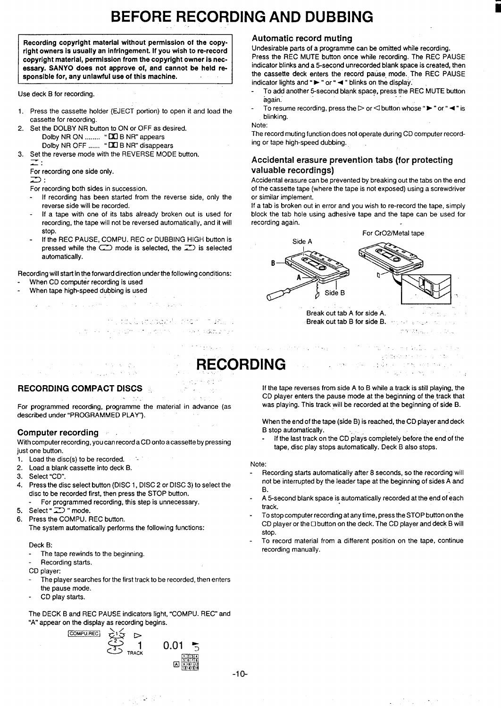# **BEFORE RECORDING AND DUBBING**

Recording copyright material without permission of the copyright owners is usually an infringement. If you wish to re-record copyright material, permission from the copyright owner is nec**essary. SANYO does not approve of, and cannot be held responsible for, any unlawful use of this machine.**

Use deck B for recording.

- 1. Press the cassette holder (EJECT portion) to open it and load the cassette for recording.
- Set the DOLBY NR button to ON or OFF as desired. Dolby NR ON ........ " **LI**LI B NR" appear Dolby NR OFF ...... " **❑**❑ B NR" disappear 2.
- Set the reverse mode with the REVERSE MODE button. 3. **z:**

For recording one side only.

 $\overline{a}$ 

- For recording both sides in succession.
- If recording has been started from the reverse side, only the reverse side will be recorded.
- If a tape with one of its tabs already broken out is used for recording, the tape will not be reversed automatically, and it will stop.
- If the REC PAUSE, COMPU. REC or DUBBING HIGH button is pressed while the  $\Box$  mode is selected, the  $\Box$ ) is selected automatically.

#### Recording will start in the forward direction under the following conditions:

- When CD computer recording is used
- When tape high-speed dubbing is used
	- in this basis  $\pm$  10  $\pm$  10  $\pm$  10  $\pm$  10  $\pm$  $\tau_{\rm max} = 80$ 
		- ,, .. . . . . . . .-, ,. .,.. . . . . ,,, .,, ,,.,. --

### **RECORDING COMPACT DISCS -, .-.**

개시한다

:,

For programmed recording, programme the material in advance (as described under "PROGRAMMED PLAY").

### Computer recording

With computer recording, you can record a CD onto a cassette by pressing just one button.

- 1. Load the disc(s) to be recorded.
- 2. Load a blank cassette into deck B.
- 3. Select "CD".
- 4. Press the disc select button (DISC 1, DISC 2 or DISC 3) to select the disc to be recorded first, then press the STOP button. For programmed recording, this step is unnecessary.
- 
- mode: تــَــ " mode 6. Press the COMPU. REC button.
- The system automatically performs the following functions:

#### Deck B:

- The tape rewinds to the beginning.
- Recording starts.

CD player:

- The player searches for the first track to be recorded, then enters the pause mode.
- CD play starts.

The DECK B and REC PAUSE indicators light, "COMPU. REC" and "A" appear on the display as recording begins.



in St

 $\mathcal{L} \ll \mathcal{L}$ 

## **Automatic record muting**

Undesirable parts of a programme can be omitted while recording. Press the REC MUTE button once while recording. The REC PAUSE indicator blinks and a 5-second unrecorded blank space is created, then the cassette deck enters the record pause, mode. The **REC PAUSE** indicator lights and " $\blacktriangleright$  " or "  $\blacktriangleleft$  " blinks on the display.

- To add another 5-second blank space, press the REC MUTE buttor again.
- To resume recording, press the  $\triangleright$  or  $\triangleleft$  button whose " $\blacktriangleright$  " or " $\blacktriangleleft$  " is blinking.

#### Note:

The record muting function does not operate during CD computer recording or tape high-speed dubbing.

## **Accidental erasure prevention tabs (for protecting valuable recordings)**

Accidental erasure can be prevented by breaking out the tabs on the end of the cassette tape (where the tape is not exposed) using a screwdriver or similar implement.

If a tab is broken out **in error and you wish to re-record the tape, simply block the tab hole using adhesive tape and the tape can be** used for recording again.



Break out tab B for side B. .<br>, http://www.astron.com

', -..

-. .,... L' **RECORDING** ,,. ,. **.,'**

in de la participation de

If the tape reverses from side A to B while a track is still playing, the CD player enters the pause mode at the beginning of the track that was playing. This track will be recorded at the beginning of side B.

When the end of the tape (side B) is reached, the CD player and deck B stop automatically.

If the last track on the CD plays completely before the end of the tape, disc play stops automatically. Deck B also stops.

#### Note:

- Recording starts automatically after 8 seconds, so the recording will not be interrupted by the leader tape at the beginning of sides A and B.
- A 5-second blank space is automatically recorded at the end of each track.
- To stop computer recording at any time, press the STOP button on the CD player or the  $\Box$  button on the deck. The CD player and deck B will stop.
- To record material from a different position on the tape, continue recording manually.

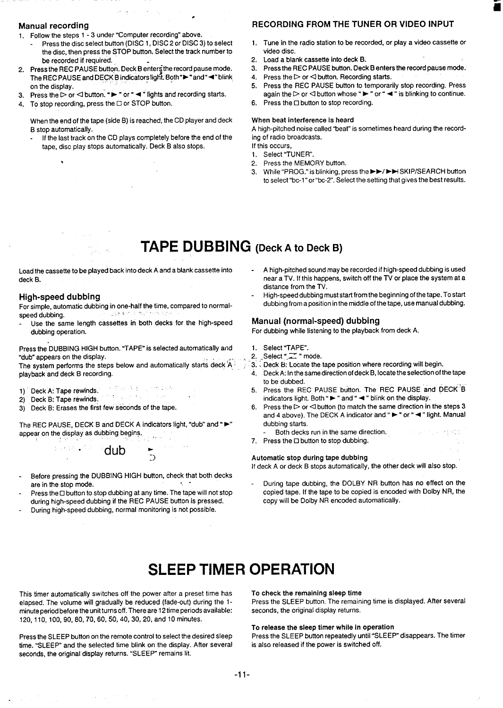#### **Manual recording**

- 1. Follow the steps 1-3 under "Computer recording" above.
- Press the disc select button (DISC 1, DISC 2 or DISC 3) to select the disc, then press the STOP button. Select the track number to be recorded if required.

●

- 2. Press the REC PAUSE button. Deck B enters the record pause mode The REC PAUSE and DECK B indicators light. Both ">" and "<" blink on the display.
- 3. Press the  $\triangleright$  or  $\lhd$  button. " $\blacktriangleright$  " or "  $\blacktriangleleft$  " lights and recording starts
- 4. To stop recording, press the ❑ or STOP button.

When the end of the tape (side B) is reached, the CD player and deck B stop automatically.

If the last track on the CD plays completely before the end of the tape, disc play stops automatically. Deck B also stops.

# **RECORDING FROM THE TUNER OR VIDEO INPUT**

1. Tune in the radio station to be recorded, or play a video cassette or video disc.

ii

- 2. Load a blank cassette into deck B.<br>3. Press the REC PAUSE button. Deck
- Press the REC PAUSE button. Deck B enters the record pause mode.
- 4. Press the  $\triangleright$  or  $\triangleleft$  button. Recording starts.
- 5. Press the REC PAUSE button to temporarily stop recording. Press again the  $\triangleright$  or  $\triangleleft$  button whose " $\blacktriangleright$  " or "  $\blacktriangleleft$  " is blinking to continue.
- 6. Press the ❑ button to stop recording.

### When beat interference is heard

A high-pitched noise called "beat" is sometimes heard during the recording of radio broadcasts.

If this occurs, 1. Select "TUNER".

- 
- 2. Press the MEMORY button.
- 3. While "PROG." is blinking, press the ►►/►■SKIP/SEARCH button to select "be-l" or''bc-2". Select the setting that gives the best results.

# **TAPE DUBBING (Deck <sup>A</sup> to Deck B)**

\*

For simple, automatic dubbing in one-half the time, compared to normalspeed dubbing. ,, ..,.,. .,,

Use the same length **cassettes in both decks** for the high-speed **Manual (normal-speed) dubbing**

Press the DUBBING HIGH button. "TAPE" is selected automatically and 1. Select "TAPE".<br>"dub" appears on the display. 2. Select "T" mode. "dub" appears on the display.<br>The system performs the steps below and automatically starts deck  $A^{\frac{1}{2}}$ , 3. Deck B: Locate the tape position where recording will begin.

The system performs the steps below and automatically starts deck A: playback and deck B recording. 4. Deck A: In the same direction of deck B, Iocatethe selection of the tape

- 
- 
- 3) Deck B: Erases the first few seconds of the tape.

The REC PAUSE, DECK B and DECK A indicators light, "dub" and " $\blacktriangleright$ " dubbing starts.<br>appear on the display as dubbing begins.<br>appear on the same direction. appear on the display as dubbing begins. ,.

. . . . . . . . . . . . <del>.</del> dub  $\frac{1}{2}$ 

- Before pressing the DUBBING HIGH button, check that both decks
- Press the ⊡ button to stop dubbing at any time. The tape will not stop copied tape. If the tape to be copied is encode<br>during high-speed dubbing if the REC PAUSE button is pressed. copy will be Dolby NR encoded automatica during high-speed dubbing if the REC PAUSE button is pressed.
- During high-speed dubbing, normal monitoring is not possible.
- Load the cassette to be played back into deck A and a blank cassette into - A high-pitched sound may be recorded if high-speed dubbing is used deck B. near a TV. If this happens, switch off the TV or place the system at a distance from the TV.
- High-speed dubbing<br>For simple automatic dubbing in one-half the time compared to normal-<br>For simple automatic dubbing in one-half the time compared to normal-<br>dubbing from a position in the middle of the tape, use manual d

For dubbing while listening to the playback from deck A.

- 
- 
- 
- to be dubbed.
- 1) Deck A: Tape rewinds. The Same Records and DECK <sup>1</sup>B state of the REC PAUSE button. The REC PAUSE and DECK <sup>1</sup>B<br>2) Deck B: Tape rewinds. The Same Records and DECK is the Same of the Same indicators light. Both " > " and 2) Deck B: Tape rewinds.<br>2) Deck B: Tape rewinds. indicators light. Both "► " and " ◄ " blink on the display.<br>2) Deck B: Frases the first few seconds of the tape. 6. Press the  $\triangleright$  or  $\triangleleft$  button (to match the same dir
	- and 4 above). The DECK A indicator and " ► " or " < " light. Manual
	-
	- :. 7. Press the ❑ button to stop dubbing.

#### Automatic stop during tape dubbing

If deck A or deck B stops automatically, the other deck will also stop.

are in the stop mode.<br>Press the Obutton to stop dubbing at any time. The tape will not stop copied tape. If the tape to be copied is encoded with Dolby NR, the

# **SLEEP TIMER OPERATION**

This timer automatically switches off the power after a preset time has To check the remaining sleep time<br>elapsed. The volume will gradually be reduced (fade-out) during the 1- Press the SLEEP button. The remaining time is elapsed. The volume will gradually be reduced (fade-out) during the 1-<br>minute period before the unit turns off. There are 12 time periods available: seconds, the original display returns. minute period before the unit turns off. There are 12 time periods available: 120, 110, 100,90,80,70,60,50,40, 30,20, and 10 minutes.

Press the SLEEP button on the remote control to select the desired sleep time. "SLEEP" and the selected time blink on the display. After several is also released if the power is switched off. seconds, the original display returns. "SLEEP" remains lit.

To **release the sleep** timer while in operation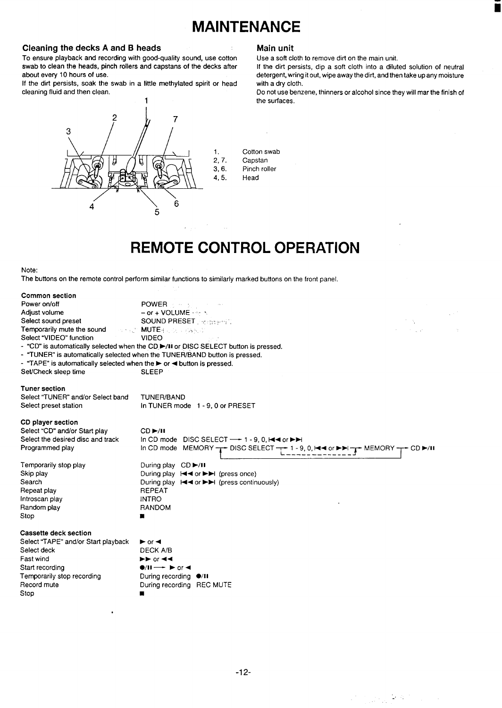# **MAINTENANCE**

**Cleaning the decks A and B heads**<br> **To ensure playback and recording with good-quality sound, use cotton Use a soft cloth to remove dirt on the main unit.** To ensure playback and recording with good-quality sound, use cotton Use a soft cloth to remove dirt on the main unit.<br>Swab to clean the heads, pinch rollers and capstans of the decks after If the dirt persists, dip a soft swab to clean the heads, pinch rollers and capstans of the decks after about every 10 hours of use.

If the dirt persists, soak the swab in a little methylated spirit or head cleaning fluid and then clean.



.

detergent, wring it out, wipe away the dirt, and then take up any moisture with a dry cloth.

Do not use benzene, thinners or alcohol since they will mar the finish of the surfaces.

1. Cotton swab<br>2, 7. Capstan 2, 7. Capstan<br>3, 6. Pinch roll Pinch roller 4,5. Head

# **REMOTE CONTROL OPERATION**

#### Note:

The buttons on the remote control perform similar functions to similarly marked buttons on the front panel.

| In CD mode MEMORY $\rightarrow$ DISC SELECT $\rightarrow$ 1 - 9, 0, $\rightarrow$ 4 or $\rightarrow$ $\rightarrow$ MEMORY $\rightarrow$ CD $\rightarrow$ /H |
|-------------------------------------------------------------------------------------------------------------------------------------------------------------|
|                                                                                                                                                             |
|                                                                                                                                                             |
|                                                                                                                                                             |
|                                                                                                                                                             |
|                                                                                                                                                             |
|                                                                                                                                                             |
|                                                                                                                                                             |
|                                                                                                                                                             |
|                                                                                                                                                             |
|                                                                                                                                                             |
|                                                                                                                                                             |
|                                                                                                                                                             |
|                                                                                                                                                             |
|                                                                                                                                                             |
|                                                                                                                                                             |
|                                                                                                                                                             |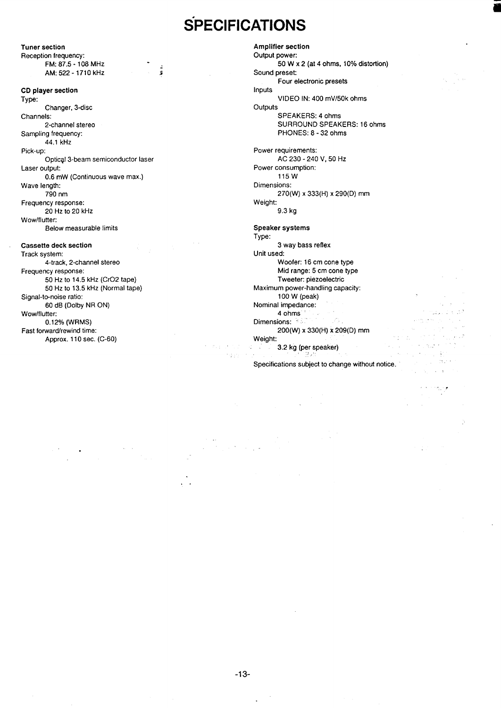# **SPECIFICATIONS**

**Tuner section Reception frequency: FM: 87.5-108** MHz : AM: 522 - 1710 kHz

#### **CD player section Type:**

**Changer, 3-disc** Channels: 2-channel stereo Sampling frequency: 44.1 kHz

Pick-up: Optical 3-beam semiconductor laser Laser output

0.6 mW (Continuous wave max.) Wave length: 790 nm Frequency response:

20 HZ **tO** 20 kHz Wow/flutter:

Below measurable limits

#### **Cassette deck section**

**Track system: 4-track, 2-channel stereo Frequency response: 50 Hz to 14.5** kHz (Cr02 tape) 50 Hz to 13.5 kHz (Normal tape) Signal-to-noise ratio: 60 dB (Dolby NR ON) Wow/flutter: 0.12% (WRMS) Fast forward/rewind time: Approx. 110 sec. (C-60)

50 W x 2 (at 4 ohms,  $10\%$  distortion) Sound preset: Four electronic presets Inputs VIDEO IN: 400 mV/50k ohms **Outputs** SPEAKERS: 4 ohms SURROUND SPEAKERS: 16 ohms PHONES: 8-32 ohms Power requirements: AC 230-240 V, 50 HZ Power consumption: 115W Dimensions: 270(W) x 333(H) x 290(D) mm Weight: 9.3 kg

#### **Speaker systems**

**Amplifier section Output power:**

**Type: 3 way bass reflex Unit used:** Woofer: 16 cm cone type Mid range: 5 cm cone type Tweeter: piezoelectric Maximum power-handling capacity: 100 W (peak) Nominal impedance: 4 ohms Dimensions: 200(W) x 330(H) x 209(D) mm Weight: ,. 3.2 kg (per speaker)  $\sim$ 

Specifications subject to change without notice.

,:

. .